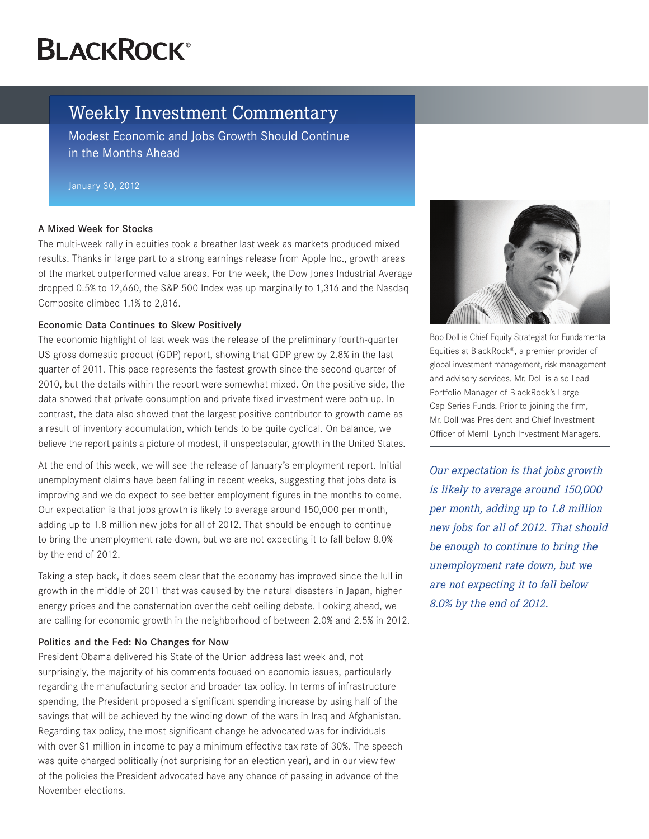# **BLACKROCK®**

# Weekly Investment Commentary

Modest Economic and Jobs Growth Should Continue in the Months Ahead

January 30, 2012

## A Mixed Week for Stocks

The multi-week rally in equities took a breather last week as markets produced mixed results. Thanks in large part to a strong earnings release from Apple Inc., growth areas of the market outperformed value areas. For the week, the Dow Jones Industrial Average dropped 0.5% to 12,660, the S&P 500 Index was up marginally to 1,316 and the Nasdaq Composite climbed 1.1% to 2,816.

## Economic Data Continues to Skew Positively

The economic highlight of last week was the release of the preliminary fourth-quarter US gross domestic product (GDP) report, showing that GDP grew by 2.8% in the last quarter of 2011. This pace represents the fastest growth since the second quarter of 2010, but the details within the report were somewhat mixed. On the positive side, the data showed that private consumption and private fixed investment were both up. In contrast, the data also showed that the largest positive contributor to growth came as a result of inventory accumulation, which tends to be quite cyclical. On balance, we believe the report paints a picture of modest, if unspectacular, growth in the United States.

At the end of this week, we will see the release of January's employment report. Initial unemployment claims have been falling in recent weeks, suggesting that jobs data is improving and we do expect to see better employment figures in the months to come. Our expectation is that jobs growth is likely to average around 150,000 per month, adding up to 1.8 million new jobs for all of 2012. That should be enough to continue to bring the unemployment rate down, but we are not expecting it to fall below 8.0% by the end of 2012.

Taking a step back, it does seem clear that the economy has improved since the lull in growth in the middle of 2011 that was caused by the natural disasters in Japan, higher energy prices and the consternation over the debt ceiling debate. Looking ahead, we are calling for economic growth in the neighborhood of between 2.0% and 2.5% in 2012.

#### Politics and the Fed: No Changes for Now

President Obama delivered his State of the Union address last week and, not surprisingly, the majority of his comments focused on economic issues, particularly regarding the manufacturing sector and broader tax policy. In terms of infrastructure spending, the President proposed a significant spending increase by using half of the savings that will be achieved by the winding down of the wars in Iraq and Afghanistan. Regarding tax policy, the most significant change he advocated was for individuals with over \$1 million in income to pay a minimum effective tax rate of 30%. The speech was quite charged politically (not surprising for an election year), and in our view few of the policies the President advocated have any chance of passing in advance of the November elections.



Bob Doll is Chief Equity Strategist for Fundamental Equities at BlackRock®, a premier provider of global investment management, risk management and advisory services. Mr. Doll is also Lead Portfolio Manager of BlackRock's Large Cap Series Funds. Prior to joining the firm, Mr. Doll was President and Chief Investment Officer of Merrill Lynch Investment Managers.

*Our expectation is that jobs growth is likely to average around 150,000 per month, adding up to 1.8 million new jobs for all of 2012. That should be enough to continue to bring the unemployment rate down, but we are not expecting it to fall below 8.0% by the end of 2012.*